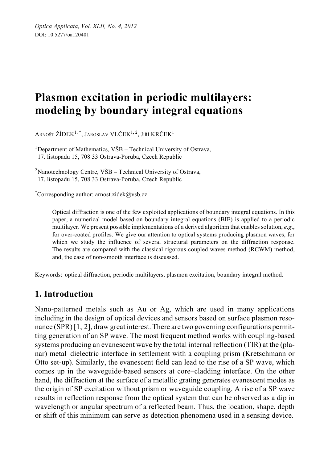# **Plasmon excitation in periodic multilayers: modeling by boundary integral equations**

ARNOŠT ŽÍDEK<sup>1,\*</sup>, JAROSLAV VLČEK<sup>1, 2</sup>, JIŘÍ KRČEK<sup>1</sup>

<sup>1</sup>Department of Mathematics,  $V\tilde{S}B$  – Technical University of Ostrava, 17. listopadu 15, 708 33 Ostrava-Poruba, Czech Republic

<sup>2</sup>Nanotechnology Centre,  $V\tilde{S}B$  – Technical University of Ostrava, 17. listopadu 15, 708 33 Ostrava-Poruba, Czech Republic

\* Corresponding author: arnost.zidek@vsb.cz

Optical diffraction is one of the few exploited applications of boundary integral equations. In this paper, a numerical model based on boundary integral equations (BIE) is applied to a periodic multilayer. We present possible implementations of a derived algorithm that enables solution, *e*.*g*., for over-coated profiles. We give our attention to optical systems producing plasmon waves, for which we study the influence of several structural parameters on the diffraction response. The results are compared with the classical rigorous coupled waves method (RCWM) method, and, the case of non-smooth interface is discussed.

Keywords: optical diffraction, periodic multilayers, plasmon excitation, boundary integral method.

# **1. Introduction**

Nano-patterned metals such as Au or Ag, which are used in many applications including in the design of optical devices and sensors based on surface plasmon resonance (SPR) [1, 2], draw great interest. There are two governing configurations permitting generation of an SP wave. The most frequent method works with coupling-based systems producing an evanescent wave by the total internal reflection (TIR) at the (planar) metal–dielectric interface in settlement with a coupling prism (Kretschmann or Otto set-up). Similarly, the evanescent field can lead to the rise of a SP wave, which comes up in the waveguide-based sensors at core–cladding interface. On the other hand, the diffraction at the surface of a metallic grating generates evanescent modes as the origin of SP excitation without prism or waveguide coupling. A rise of a SP wave results in reflection response from the optical system that can be observed as a dip in wavelength or angular spectrum of a reflected beam. Thus, the location, shape, depth or shift of this minimum can serve as detection phenomena used in a sensing device.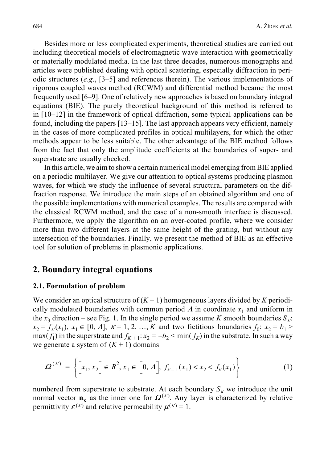Besides more or less complicated experiments, theoretical studies are carried out including theoretical models of electromagnetic wave interaction with geometrically or materially modulated media. In the last three decades, numerous monographs and articles were published dealing with optical scattering, especially diffraction in periodic structures (*e*.*g*., [3–5] and references therein). The various implementations of rigorous coupled waves method (RCWM) and differential method became the most frequently used [6–9]. One of relatively new approaches is based on boundary integral equations (BIE). The purely theoretical background of this method is referred to in [10–12] in the framework of optical diffraction, some typical applications can be found, including the papers [13–15]. The last approach appears very efficient, namely in the cases of more complicated profiles in optical multilayers, for which the other methods appear to be less suitable. The other advantage of the BIE method follows from the fact that only the amplitude coefficients at the boundaries of super- and superstrate are usually checked.

In this article, we aim to show a certain numerical model emerging from BIE applied on a periodic multilayer. We give our attention to optical systems producing plasmon waves, for which we study the influence of several structural parameters on the diffraction response. We introduce the main steps of an obtained algorithm and one of the possible implementations with numerical examples. The results are compared with the classical RCWM method, and the case of a non-smooth interface is discussed. Furthermore, we apply the algorithm on an over-coated profile, where we consider more than two different layers at the same height of the grating, but without any intersection of the boundaries. Finally, we present the method of BIE as an effective tool for solution of problems in plasmonic applications.

## **2. Boundary integral equations**

#### **2.1. Formulation of problem**

We consider an optical structure of  $(K - 1)$  homogeneous layers divided by *K* periodically modulated boundaries with common period  $\Lambda$  in coordinate  $x_1$  and uniform in the *x*<sub>3</sub> direction – see Fig. 1. In the single period we assume *K* smooth boundaries  $S_k$ .  $x_2 = f_k(x_1), x_1 \in [0, \Lambda], \ \kappa = 1, 2, ..., K$  and two fictitious boundaries  $f_0$ :  $x_2 = b_1 >$  $max(f_1)$  in the superstrate and  $f_{K+1}: x_2 = -b_2 < min(f_K)$  in the substrate. In such a way we generate a system of  $(K + 1)$  domains

$$
\Omega^{(\kappa)} = \left\{ \left[ x_1, x_2 \right] \in R^2, x_1 \in \left[ 0, \Lambda \right], f_{\kappa - 1}(x_1) < x_2 < f_{\kappa}(x_1) \right\} \tag{1}
$$

numbered from superstrate to substrate. At each boundary  $S_k$  we introduce the unit normal vector  $\mathbf{n}_{\kappa}$  as the inner one for  $\Omega^{(\kappa)}$ . Any layer is characterized by relative permittivity  $\varepsilon^{(\kappa)}$  and relative permeability  $\mu^{(\kappa)} = 1$ .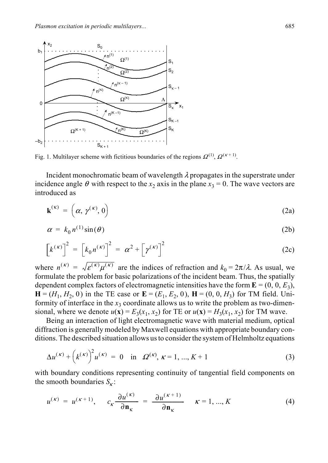

Fig. 1. Multilayer scheme with fictitious boundaries of the regions  $\Omega^{(1)}$ ,  $\Omega^{(\kappa+1)}$ .

Incident monochromatic beam of wavelength  $\lambda$  propagates in the superstrate under incidence angle  $\theta$  with respect to the  $x_2$  axis in the plane  $x_3 = 0$ . The wave vectors are introduced as

$$
\mathbf{k}^{(\kappa)} = \left(\alpha, \gamma^{(\kappa)}, 0\right) \tag{2a}
$$

$$
\alpha = k_0 n^{(1)} \sin(\theta) \tag{2b}
$$

$$
\left[k^{(\kappa)}\right]^2 = \left[k_0 n^{(\kappa)}\right]^2 = \alpha^2 + \left[\gamma^{(\kappa)}\right]^2 \tag{2c}
$$

where  $n^{(k)} = \sqrt{\varepsilon^{(k)} \mu^{(k)}}$  are the indices of refraction and  $k_0 = 2\pi/\lambda$ . As usual, we formulate the problem for basic polarizations of the incident beam. Thus, the spatially dependent complex factors of electromagnetic intensities have the form  $\mathbf{E} = (0, 0, E_3)$ ,  $H = (H_1, H_2, 0)$  in the TE case or  $\mathbf{E} = (E_1, E_2, 0)$ ,  $\mathbf{H} = (0, 0, H_3)$  for TM field. Uniformity of interface in the  $x_3$  coordinate allows us to write the problem as two-dimensional, where we denote  $u(\mathbf{x}) = E_3(x_1, x_2)$  for TE or  $u(\mathbf{x}) = H_3(x_1, x_2)$  for TM wave.

Being an interaction of light electromagnetic wave with material medium, optical diffraction is generally modeled by Maxwell equations with appropriate boundary conditions. The described situation allows us to consider the system of Helmholtz equations

$$
\Delta u^{(\kappa)} + \left(k^{(\kappa)}\right)^2 u^{(\kappa)} = 0 \quad \text{in} \quad \Omega^{(\kappa)}, \ \kappa = 1, \dots, K + 1 \tag{3}
$$

with boundary conditions representing continuity of tangential field components on the smooth boundaries  $S_k$ :

$$
u^{(\kappa)} = u^{(\kappa+1)}, \qquad c_{\kappa} \frac{\partial u^{(\kappa)}}{\partial \mathbf{n}_{\kappa}} = \frac{\partial u^{(\kappa+1)}}{\partial \mathbf{n}_{\kappa}} \qquad \kappa = 1, ..., K \tag{4}
$$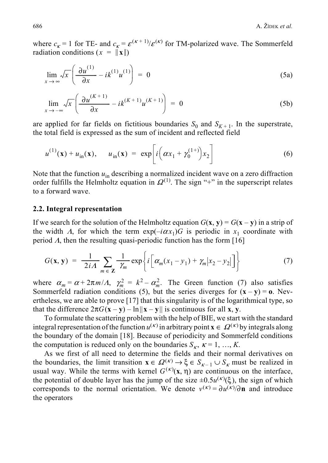where  $c_k = 1$  for TE- and  $c_k = \varepsilon^{(k+1)} / \varepsilon^{(k)}$  for TM-polarized wave. The Sommerfeld radiation conditions  $(x = ||\mathbf{x}||)$ 

$$
\lim_{x \to \infty} \sqrt{x} \left( \frac{\partial u^{(1)}}{\partial x} - ik^{(1)} u^{(1)} \right) = 0 \tag{5a}
$$

$$
\lim_{x \to -\infty} \sqrt{x} \left( \frac{\partial u^{(K+1)}}{\partial x} - ik^{(K+1)} u^{(K+1)} \right) = 0 \tag{5b}
$$

are applied for far fields on fictitious boundaries  $S_0$  and  $S_{K+1}$ . In the superstrate, the total field is expressed as the sum of incident and reflected field

$$
u^{(1)}(\mathbf{x}) + u_{\text{in}}(\mathbf{x}), \quad u_{\text{in}}(\mathbf{x}) = \exp\left[i\left(\alpha x_1 + \gamma_0^{(1+)}\right)x_2\right] \tag{6}
$$

Note that the function  $u_{\text{in}}$  describing a normalized incident wave on a zero diffraction order fulfills the Helmholtz equation in  $\Omega^{(1)}$ . The sign "+" in the superscript relates to a forward wave.

#### **2.2. Integral representation**

If we search for the solution of the Helmholtz equation  $G(\mathbf{x}, \mathbf{y}) = G(\mathbf{x} - \mathbf{y})$  in a strip of the width  $\Lambda$ , for which the term  $\exp(-i\alpha x_1)G$  is periodic in  $x_1$  coordinate with period  $\Lambda$ , then the resulting quasi-periodic function has the form [16]

$$
G(\mathbf{x}, \mathbf{y}) = \frac{1}{2iA} \sum_{m \in \mathbf{Z}} \frac{1}{\gamma_m} \exp\left\{i \left[ \alpha_m (x_1 - y_1) + \gamma_m |x_2 - y_2| \right] \right\} \tag{7}
$$

where  $\alpha_m = \alpha + 2\pi m/A$ ,  $\gamma_m^2 = k^2 - \alpha_m^2$ . The Green function (7) also satisfies Sommerfeld radiation conditions (5), but the series diverges for  $(\mathbf{x} - \mathbf{y}) = \mathbf{0}$ . Nevertheless, we are able to prove [17] that this singularity is of the logarithmical type, so that the difference  $2\pi G(\mathbf{x} - \mathbf{y}) - \ln ||\mathbf{x} - \mathbf{y}||$  is continuous for all **x**, **y**.

To formulate the scattering problem with the help of BIE, we start with the standard integral representation of the function  $u^{(\kappa)}$  in arbitrary point  $\mathbf{x} \in \Omega^{(\kappa)}$  by integrals along the boundary of the domain [18]. Because of periodicity and Sommerfeld conditions the computation is reduced only on the boundaries  $S_k$ ,  $\kappa = 1, ..., K$ .

As we first of all need to determine the fields and their normal derivatives on the boundaries, the limit transition  $\mathbf{x} \in \Omega^{(\kappa)} \to \xi \in S_{\kappa-1} \cup S_{\kappa}$  must be realized in usual way. While the terms with kernel  $G^{(\kappa)}(\mathbf{x}, \eta)$  are continuous on the interface, the potential of double layer has the jump of the size  $\pm 0.5u^{(\kappa)}(\xi)$ , the sign of which corresponds to the normal orientation. We denote  $v^{(k)} = \partial u^{(k)}/\partial \mathbf{n}$  and introduce the operators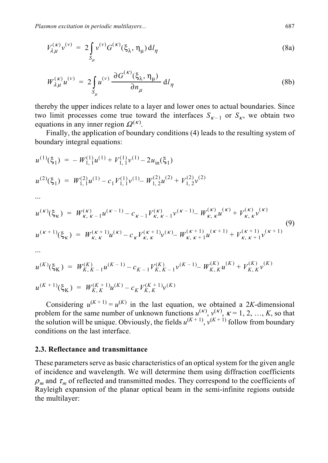$$
V_{\lambda\mu}^{(\kappa)}v^{(\nu)} = 2\int_{S_{\mu}} v^{(\nu)}G^{(\kappa)}(\xi_{\lambda}, \eta_{\mu})\,dI_{\eta}
$$
 (8a)

$$
W_{\lambda\mu}^{(\kappa)}u^{(\nu)} = 2\int\limits_{S_{\mu}} u^{(\nu)} \frac{\partial G^{(\kappa)}(\xi_{\lambda}, \eta_{\mu})}{\partial n_{\mu}} dl_{\eta}
$$
 (8b)

thereby the upper indices relate to a layer and lower ones to actual boundaries. Since two limit processes come true toward the interfaces  $S_{k-1}$  or  $S_k$ , we obtain two equations in any inner region  $\Omega^{(\kappa)}$ .

Finally, the application of boundary conditions (4) leads to the resulting system of boundary integral equations:

$$
u^{(1)}(\xi_1) = -W_{1,1}^{(1)}u^{(1)} + V_{1,1}^{(1)}v^{(1)} - 2u_{in}(\xi_1)
$$
  
\n
$$
u^{(2)}(\xi_1) = W_{1,1}^{(2)}u^{(1)} - c_1V_{1,1}^{(1)}v^{(1)} - W_{1,2}^{(2)}u^{(2)} + V_{1,2}^{(2)}v^{(2)}
$$
  
\n...  
\n
$$
u^{(\kappa)}(\xi_{\kappa}) = W_{\kappa,\kappa-1}^{(\kappa)}u^{(\kappa-1)} - c_{\kappa-1}V_{\kappa,\kappa-1}^{(\kappa)}v^{(\kappa-1)} - W_{\kappa,\kappa}^{(\kappa)}u^{(\kappa)} + V_{\kappa,\kappa}^{(\kappa)}v^{(\kappa)}
$$
  
\n
$$
u^{(\kappa+1)}(\xi_{\kappa}) = W_{\kappa,\kappa}^{(\kappa+1)}u^{(\kappa)} - c_{\kappa}V_{\kappa,\kappa}^{(\kappa+1)}v^{(\kappa)} - W_{\kappa,\kappa+1}^{(\kappa+1)}u^{(\kappa+1)} + V_{\kappa,\kappa+1}^{(\kappa+1)}v^{(\kappa+1)}
$$
  
\n...

$$
u^{(K)}(\xi_K) = W_{K,K-1}^{(K)} u^{(K-1)} - c_{K-1} V_{K,K-1}^{(K)} v^{(K-1)} - W_{K,K}^{(K)} u^{(K)} + V_{K,K}^{(K)} v^{(K)}
$$
  

$$
u^{(K+1)}(\xi_K) = W_{K,K}^{(K+1)} u^{(K)} - c_K V_{K,K}^{(K+1)} v^{(K)}
$$

Considering  $u^{(K+1)} = u^{(K)}$  in the last equation, we obtained a 2*K*-dimensional problem for the same number of unknown functions  $u^{(k)}$ ,  $v^{(k)}$ ,  $k = 1, 2, ..., K$ , so that the solution will be unique. Obviously, the fields  $u^{(K+1)}$ ,  $v^{(K+1)}$  follow from boundary conditions on the last interface.

#### **2.3. Reflectance and transmittance**

These parameters serve as basic characteristics of an optical system for the given angle of incidence and wavelength. We will determine them using diffraction coefficients  $\rho_m$  and  $\tau_m$  of reflected and transmitted modes. They correspond to the coefficients of Rayleigh expansion of the planar optical beam in the semi-infinite regions outside the multilayer: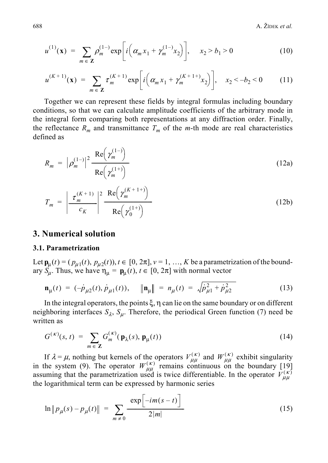$688$  A.  $\check{Z}$ ipek *et al.* 

$$
u^{(1)}(\mathbf{x}) = \sum_{m \in \mathbf{Z}} \rho_m^{(1-)} \exp\bigg[i\bigg(\alpha_m x_1 + \gamma_m^{(1-)} x_2\bigg)\bigg], \quad x_2 > b_1 > 0 \tag{10}
$$

$$
u^{(K+1)}(\mathbf{x}) = \sum_{m \in \mathbf{Z}} \tau_m^{(K+1)} \exp\bigg[i\bigg(\alpha_m x_1 + \gamma_m^{(K+1+)} x_2\bigg)\bigg], \quad x_2 < -b_2 < 0 \tag{11}
$$

Together we can represent these fields by integral formulas including boundary conditions, so that we can calculate amplitude coefficients of the arbitrary mode in the integral form comparing both representations at any diffraction order. Finally, the reflectance  $R_m$  and transmittance  $T_m$  of the *m*-th mode are real characteristics defined as

$$
R_m = \left| \rho_m^{(1-)} \right|^2 \frac{\operatorname{Re} \left( \gamma_m^{(1-)} \right)}{\operatorname{Re} \left( \gamma_m^{(1+)} \right)} \tag{12a}
$$

$$
T_m = \left| \frac{\tau_m^{(K+1)}}{c_K} \right|^2 \frac{\text{Re}\left(\gamma_m^{(K+1+)}\right)}{\text{Re}\left(\gamma_0^{(1+)}\right)} \tag{12b}
$$

#### **3. Numerical solution**

#### **3.1. Parametrization**

Let  $\mathbf{p}_{\mu}(t) = (p_{\mu 1}(t), p_{\mu 2}(t)), t \in [0, 2\pi], v = 1, ..., K$  be a parametrization of the boundary  $S_{\mu}$ . Thus, we have  $\eta_{\mu} = \mathbf{p}_{\mu}(t)$ ,  $t \in [0, 2\pi]$  with normal vector

$$
\mathbf{n}_{\mu}(t) = (-\dot{p}_{\mu 2}(t), \dot{p}_{\mu 1}(t)), \quad \|\mathbf{n}_{\mu}\| = n_{\mu}(t) = \sqrt{\dot{p}_{\mu 1}^2 + \dot{p}_{\mu 2}^2}
$$
(13)

In the integral operators, the points  $\xi$ ,  $\eta$  can lie on the same boundary or on different neighboring interfaces  $S_{\lambda}$ ,  $S_{\mu}$ . Therefore, the periodical Green function (7) need be written as

$$
G^{(\kappa)}(s,t) = \sum_{m \in \mathbb{Z}} G_m^{(\kappa)}(\mathbf{p}_{\lambda}(s), \mathbf{p}_{\mu}(t))
$$
\n(14)

If  $\lambda = \mu$ , nothing but kernels of the operators  $V_{uu}^{(\kappa)}$  and  $W_{uu}^{(\kappa)}$  exhibit singularity in the system (9). The operator  $W_{\mu\nu}^{(\kappa)}$  remains continuous on the boundary [19] assuming that the parametrization used is twice differentiable. In the operator  $V_{\mu\mu}^{(\kappa)}$ the logarithmical term can be expressed by harmonic series  $V_{\mu\mu}^{(\kappa)}$  and  $W_{\mu\mu}^{(\kappa)}$  $W^{(\kappa)}_{\mu\mu}$ 

$$
\ln \|p_{\mu}(s) - p_{\mu}(t)\| = \sum_{m \neq 0} \frac{\exp[-im(s-t)]}{2|m|} \tag{15}
$$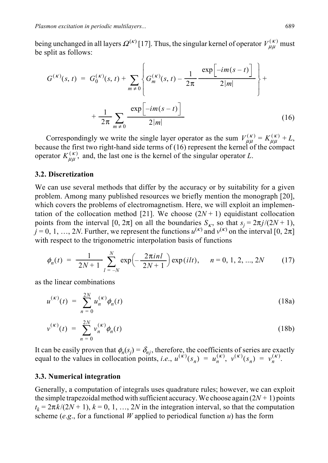being unchanged in all layers  $\Omega^{(\kappa)}$  [17]. Thus, the singular kernel of operator  $V_{\mu\mu}^{(\kappa)}$  must be split as follows:

$$
G^{(\kappa)}(s,t) = G_0^{(\kappa)}(s,t) + \sum_{m \neq 0} \left\{ G_m^{(\kappa)}(s,t) - \frac{1}{2\pi} \frac{\exp[-im(s-t)]}{2|m|} \right\} + \frac{1}{2\pi} \sum_{m \neq 0} \frac{\exp[-im(s-t)]}{2|m|} \tag{16}
$$

Correspondingly we write the single layer operator as the sum  $V_{\mu\nu}^{(k)} = K_{\mu\nu}^{(k)} + L$ , because the first two right-hand side terms of (16) represent the kernel of the compact operator  $K_{\mu\mu}^{(\kappa)}$ , and, the last one is the kernel of the singular operator *L*.  $V_{\mu\mu}^{(\kappa)} = K_{\mu\mu}^{(\kappa)}$ 

#### **3.2. Discretization**

We can use several methods that differ by the accuracy or by suitability for a given problem. Among many published resources we briefly mention the monograph [20], which covers the problems of electromagnetism. Here, we will exploit an implementation of the collocation method [21]. We choose  $(2N + 1)$  equidistant collocation points from the interval [0,  $2\pi$ ] on all the boundaries  $S_k$ , so that  $s_j = 2\pi j/(2N + 1)$ ,  $\hat{u} = 0, 1, ..., 2N$ . Further, we represent the functions  $u^{(k)}$  and  $v^{(k)}$  on the interval [0,  $2\pi$ ] with respect to the trigonometric interpolation basis of functions

$$
\phi_n(t) = \frac{1}{2N+1} \sum_{l=-N}^{N} \exp\left(-\frac{2\pi i n l}{2N+1}\right) \exp\left(i l t\right), \quad n = 0, 1, 2, ..., 2N \tag{17}
$$

as the linear combinations

$$
u^{(\kappa)}(t) = \sum_{n=0}^{2N} u_n^{(\kappa)} \phi_n(t)
$$
 (18a)

$$
v^{(\kappa)}(t) = \sum_{n=0}^{2N} v_n^{(\kappa)} \phi_n(t)
$$
 (18b)

It can be easily proven that  $\phi_n(s_j) = \delta_{nj}$ , therefore, the coefficients of series are exactly equal to the values in collocation points, *i.e.*,  $u^{(\kappa)}(s_n) = u_n^{(\kappa)}$ ,  $v^{(\kappa)}(s_n) = v_n^{(\kappa)}$ .

#### **3.3. Numerical integration**

Generally, a computation of integrals uses quadrature rules; however, we can exploit the simple trapezoidal method with sufficient accuracy. We choose again  $(2N + 1)$  points  $t_k = 2\pi k/(2N + 1)$ ,  $k = 0, 1, ..., 2N$  in the integration interval, so that the computation scheme ( $e.g.,$  for a functional *W* applied to periodical function  $u$ ) has the form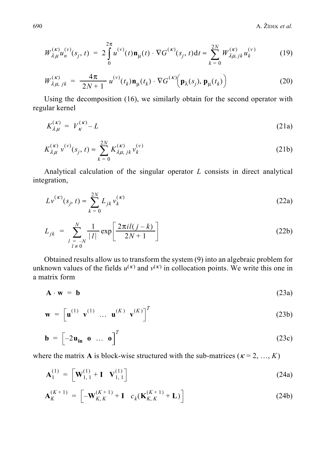$$
W_{\lambda\mu}^{(\kappa)}u_n^{(\nu)}(s_j,t) = 2\int\limits_0^{2\pi} u^{(\nu)}(t)\mathbf{n}_{\mu}(t)\cdot\nabla G^{(\kappa)}(s_j,t)dt \approx \sum_{k=0}^{2N} W_{\lambda\mu,jk}^{(\kappa)}u_k^{(\nu)} \tag{19}
$$

$$
W_{\lambda\mu,\ jk}^{(\kappa)} = \frac{4\pi}{2N+1} u^{(\nu)}(t_k) \mathbf{n}_{\mu}(t_k) \cdot \nabla G^{(\kappa)}\!\!\left(\mathbf{p}_{\lambda}(s_j), \mathbf{p}_{\mu}(t_k)\right) \tag{20}
$$

Using the decomposition (16), we similarly obtain for the second operator with regular kernel

$$
K_{\lambda\mu}^{(\kappa)} = V_{\kappa}^{(\kappa)} - L \tag{21a}
$$

$$
K_{\lambda\mu}^{(\kappa)} v^{(\nu)}(s_j, t) \approx \sum_{k=0}^{2N} K_{\lambda\mu, jk}^{(\kappa)} v_k^{(\nu)}
$$
 (21b)

Analytical calculation of the singular operator *L* consists in direct analytical integration,

$$
Lv^{(k)}(s_j, t) \approx \sum_{k=0}^{2N} L_{jk} v_k^{(k)}
$$
 (22a)

$$
L_{jk} = \sum_{\substack{l = -N \\ l \neq 0}}^{N} \frac{1}{|l|} \exp\left[\frac{2\pi i l(j-k)}{2N+1}\right]
$$
 (22b)

Obtained results allow us to transform the system (9) into an algebraic problem for unknown values of the fields  $u^{(k)}$  and  $v^{(k)}$  in collocation points. We write this one in a matrix form

$$
\mathbf{A} \cdot \mathbf{w} = \mathbf{b} \tag{23a}
$$

$$
\mathbf{w} = \begin{bmatrix} \mathbf{u}^{(1)} & \mathbf{v}^{(1)} & \dots & \mathbf{u}^{(K)} & \mathbf{v}^{(K)} \end{bmatrix}^T
$$
 (23b)

$$
\mathbf{b} = \begin{bmatrix} -2\mathbf{u}_{\mathbf{in}} & \mathbf{0} & \dots & \mathbf{0} \end{bmatrix}^T
$$
 (23c)

where the matrix **A** is block-wise structured with the sub-matrices ( $\kappa = 2, ..., K$ )

$$
\mathbf{A}_{1}^{(1)} = \begin{bmatrix} \mathbf{W}_{1,1}^{(1)} + \mathbf{I} & \mathbf{V}_{1,1}^{(1)} \end{bmatrix} \tag{24a}
$$

$$
\mathbf{A}_{K}^{(K+1)} = \begin{bmatrix} -\mathbf{W}_{K,K}^{(K+1)} + \mathbf{I} & c_{k}(\mathbf{K}_{K,K}^{(K+1)} + \mathbf{L}) \end{bmatrix}
$$
(24b)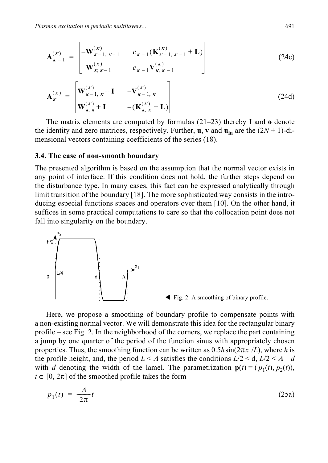$$
\mathbf{A}_{\kappa-1}^{(\kappa)} = \begin{bmatrix} -\mathbf{W}_{\kappa-1,\ \kappa-1}^{(\kappa)} & c_{\kappa-1}(\mathbf{K}_{\kappa-1,\ \kappa-1}^{(\kappa)} + \mathbf{L}) \\ \mathbf{W}_{\kappa,\ \kappa-1}^{(\kappa)} & c_{\kappa-1} \mathbf{V}_{\kappa,\ \kappa-1}^{(\kappa)} \end{bmatrix}
$$
(24c)

$$
\mathbf{A}_{\kappa}^{(\kappa)} = \begin{bmatrix} \mathbf{W}_{\kappa-1,\kappa}^{(\kappa)} + \mathbf{I} & -\mathbf{V}_{\kappa-1,\kappa}^{(\kappa)} \\ \mathbf{W}_{\kappa,\kappa}^{(\kappa)} + \mathbf{I} & -(\mathbf{K}_{\kappa,\kappa}^{(\kappa)} + \mathbf{L}) \end{bmatrix}
$$
(24d)

The matrix elements are computed by formulas (21–23) thereby **I** and **o** denote the identity and zero matrices, respectively. Further, **u**, **v** and  $\mathbf{u}_{in}$  are the  $(2N + 1)$ -dimensional vectors containing coefficients of the series (18).

#### **3.4. The case of non-smooth boundary**

The presented algorithm is based on the assumption that the normal vector exists in any point of interface. If this condition does not hold, the further steps depend on the disturbance type. In many cases, this fact can be expressed analytically through limit transition of the boundary [18]. The more sophisticated way consists in the introducing especial functions spaces and operators over them [10]. On the other hand, it suffices in some practical computations to care so that the collocation point does not fall into singularity on the boundary.





Here, we propose a smoothing of boundary profile to compensate points with a non-existing normal vector. We will demonstrate this idea for the rectangular binary profile – see Fig. 2. In the neighborhood of the corners, we replace the part containing a jump by one quarter of the period of the function sinus with appropriately chosen properties. Thus, the smoothing function can be written as  $0.5h\sin(2\pi x_1/L)$ , where *h* is the profile height, and, the period  $L < \Lambda$  satisfies the conditions  $L/2 < d$ ,  $L/2 < \Lambda - d$ with *d* denoting the width of the lamel. The parametrization  $p(t) = (p_1(t), p_2(t))$ ,  $t \in [0, 2\pi]$  of the smoothed profile takes the form

$$
p_1(t) = \frac{A}{2\pi}t\tag{25a}
$$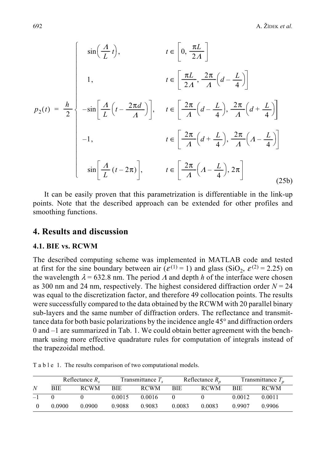$$
p_2(t) = \frac{h}{2} \begin{cases} \sin\left(\frac{A}{L}t\right), & t \in \left[0, \frac{\pi L}{2A}\right] \\ 1, & t \in \left[\frac{\pi L}{2A}, \frac{2\pi}{A}\left(d - \frac{L}{4}\right)\right] \\ -\sin\left[\frac{A}{L}\left(t - \frac{2\pi d}{A}\right)\right], & t \in \left[\frac{2\pi}{A}\left(d - \frac{L}{4}\right), \frac{2\pi}{A}\left(d + \frac{L}{4}\right)\right] \\ -1, & t \in \left[\frac{2\pi}{A}\left(d + \frac{L}{4}\right), \frac{2\pi}{A}\left(A - \frac{L}{4}\right)\right] \\ \sin\left[\frac{A}{L}\left(t - 2\pi\right)\right], & t \in \left[\frac{2\pi}{A}\left(A - \frac{L}{4}\right), 2\pi\right] \end{cases}
$$
(25b)

It can be easily proven that this parametrization is differentiable in the link-up points. Note that the described approach can be extended for other profiles and smoothing functions.

# **4. Results and discussion**

#### **4.1. BIE vs. RCWM**

The described computing scheme was implemented in MATLAB code and tested at first for the sine boundary between air ( $\varepsilon$ <sup>(1)</sup> = 1) and glass (SiO<sub>2</sub>,  $\varepsilon$ <sup>(2)</sup> = 2.25) on the wavelength  $\lambda$  = 632.8 nm. The period  $\Lambda$  and depth  $h$  of the interface were chosen as 300 nm and 24 nm, respectively. The highest considered diffraction order  $N = 24$ was equal to the discretization factor, and therefore 49 collocation points. The results were successfully compared to the data obtained by the RCWM with 20 parallel binary sub-layers and the same number of diffraction orders. The reflectance and transmittance data for both basic polarizations by the incidence angle 45° and diffraction orders 0 and –1 are summarized in Tab. 1. We could obtain better agreement with the benchmark using more effective quadrature rules for computation of integrals instead of the trapezoidal method.

|      | Reflectance $R_{\rm c}$ |             | Transmittance $Ts$ |             | Reflectance $R_n$ |             | Transmittance $T_n$ |             |
|------|-------------------------|-------------|--------------------|-------------|-------------------|-------------|---------------------|-------------|
| N    | <b>BIE</b>              | <b>RCWM</b> | <b>BIE</b>         | <b>RCWM</b> | <b>BIE</b>        | <b>RCWM</b> | <b>BIE</b>          | <b>RCWM</b> |
| $-1$ |                         |             | 0.0015             | 0.0016      |                   |             | 0.0012              | 0.0011      |
|      | 0.0900                  | 0.0900      | 0.9088             | 0.9083      | 0.0083            | 0.0083      | 0.9907              | 0.9906      |

T a b l e 1. The results comparison of two computational models.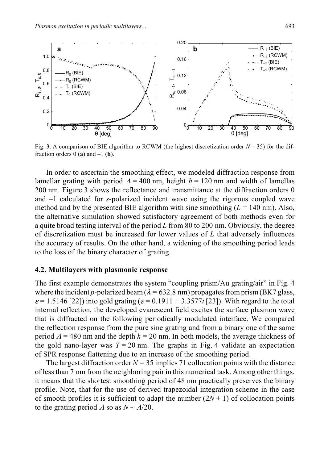

Fig. 3. A comparison of BIE algorithm to RCWM (the highest discretization order *N* = 35) for the diffraction orders  $0$  (**a**) and  $-1$  (**b**).

In order to ascertain the smoothing effect, we modeled diffraction response from lamellar grating with period  $\Lambda$  = 400 nm, height  $h$  = 120 nm and width of lamellas 200 nm. Figure 3 shows the reflectance and transmittance at the diffraction orders 0 and –1 calculated for *s*-polarized incident wave using the rigorous coupled wave method and by the presented BIE algorithm with sine smoothing  $(L = 140 \text{ nm})$ . Also, the alternative simulation showed satisfactory agreement of both methods even for a quite broad testing interval of the period *L* from 80 to 200 nm. Obviously, the degree of discretization must be increased for lower values of *L* that adversely influences the accuracy of results. On the other hand, a widening of the smoothing period leads to the loss of the binary character of grating.

#### **4.2. Multilayers with plasmonic response**

The first example demonstrates the system "coupling prism/Au grating/air" in Fig. 4 where the incident *p*-polarized beam ( $\lambda$  = 632.8 nm) propagates from prism (BK7 glass,  $\varepsilon$  = 1.5146 [22]) into gold grating ( $\varepsilon$  = 0.1911 + 3.3577*i* [23]). With regard to the total internal reflection, the developed evanescent field excites the surface plasmon wave that is diffracted on the following periodically modulated interface. We compared the reflection response from the pure sine grating and from a binary one of the same period  $\Lambda$  = 480 nm and the depth  $h$  = 20 nm. In both models, the average thickness of the gold nano-layer was  $T = 20$  nm. The graphs in Fig. 4 validate an expectation of SPR response flattening due to an increase of the smoothing period.

The largest diffraction order  $N = 35$  implies 71 collocation points with the distance of less than 7 nm from the neighboring pair in this numerical task. Among other things, it means that the shortest smoothing period of 48 nm practically preserves the binary profile. Note, that for the use of derived trapezoidal integration scheme in the case of smooth profiles it is sufficient to adapt the number  $(2N + 1)$  of collocation points to the grating period  $\Lambda$  so as  $N \sim \Lambda/20$ .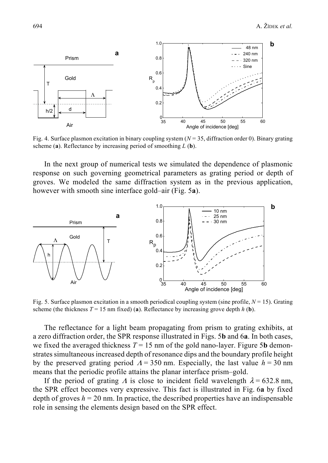

Fig. 4. Surface plasmon excitation in binary coupling system (*N* = 35, diffraction order 0). Binary grating scheme (**a**). Reflectance by increasing period of smoothing *L* (**b**).

In the next group of numerical tests we simulated the dependence of plasmonic response on such governing geometrical parameters as grating period or depth of groves. We modeled the same diffraction system as in the previous application, however with smooth sine interface gold–air (Fig. 5**a**).



Fig. 5. Surface plasmon excitation in a smooth periodical coupling system (sine profile, *N* = 15). Grating scheme (the thickness  $T = 15$  nm fixed) (a). Reflectance by increasing grove depth  $h$  (b).

The reflectance for a light beam propagating from prism to grating exhibits, at a zero diffraction order, the SPR response illustrated in Figs. 5**b** and 6**a**. In both cases, we fixed the averaged thickness  $T = 15$  nm of the gold nano-layer. Figure 5**b** demonstrates simultaneous increased depth of resonance dips and the boundary profile height by the preserved grating period  $\Lambda = 350$  nm. Especially, the last value  $h = 30$  nm means that the periodic profile attains the planar interface prism–gold.

If the period of grating  $\Lambda$  is close to incident field wavelength  $\lambda = 632.8$  nm, the SPR effect becomes very expressive. This fact is illustrated in Fig. 6**a** by fixed depth of groves  $h = 20$  nm. In practice, the described properties have an indispensable role in sensing the elements design based on the SPR effect.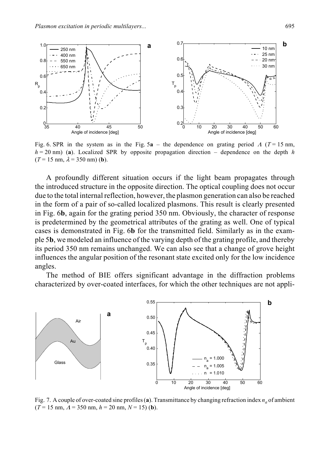

Fig. 6. SPR in the system as in the Fig.  $5a$  – the dependence on grating period  $\Lambda$  ( $T = 15$  nm,  $h = 20$  nm) (a). Localized SPR by opposite propagation direction – dependence on the depth *h*  $(T = 15$  nm,  $\lambda = 350$  nm) (**b**).

A profoundly different situation occurs if the light beam propagates through the introduced structure in the opposite direction. The optical coupling does not occur due to the total internal reflection, however, the plasmon generation can also be reached in the form of a pair of so-called localized plasmons. This result is clearly presented in Fig. 6**b**, again for the grating period 350 nm. Obviously, the character of response is predetermined by the geometrical attributes of the grating as well. One of typical cases is demonstrated in Fig. 6**b** for the transmitted field. Similarly as in the example 5**b**, we modeled an influence of the varying depth of the grating profile, and thereby its period 350 nm remains unchanged. We can also see that a change of grove height influences the angular position of the resonant state excited only for the low incidence angles.

The method of BIE offers significant advantage in the diffraction problems characterized by over-coated interfaces, for which the other techniques are not appli-



Fig. 7. A couple of over-coated sine profiles (a). Transmittance by changing refraction index  $n_a$  of ambient  $(T = 15$  nm,  $A = 350$  nm,  $h = 20$  nm,  $N = 15$ ) (**b**).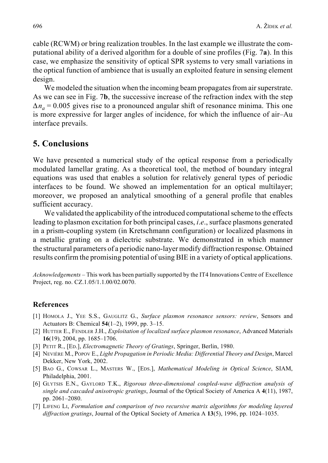cable (RCWM) or bring realization troubles. In the last example we illustrate the computational ability of a derived algorithm for a double of sine profiles (Fig. 7**a**). In this case, we emphasize the sensitivity of optical SPR systems to very small variations in the optical function of ambience that is usually an exploited feature in sensing element design.

We modeled the situation when the incoming beam propagates from air superstrate. As we can see in Fig. 7**b**, the successive increase of the refraction index with the step  $\Delta n_a = 0.005$  gives rise to a pronounced angular shift of resonance minima. This one is more expressive for larger angles of incidence, for which the influence of air–Au interface prevails.

## **5. Conclusions**

We have presented a numerical study of the optical response from a periodically modulated lamellar grating. As a theoretical tool, the method of boundary integral equations was used that enables a solution for relatively general types of periodic interfaces to be found. We showed an implementation for an optical multilayer; moreover, we proposed an analytical smoothing of a general profile that enables sufficient accuracy.

We validated the applicability of the introduced computational scheme to the effects leading to plasmon excitation for both principal cases, *i*.*e*., surface plasmons generated in a prism-coupling system (in Kretschmann configuration) or localized plasmons in a metallic grating on a dielectric substrate. We demonstrated in which manner the structural parameters of a periodic nano-layer modify diffraction response. Obtained results confirm the promising potential of using BIE in a variety of optical applications.

*Acknowledgements* – This work has been partially supported by the IT4 Innovations Centre of Excellence Project, reg. no. CZ.1.05/1.1.00/02.0070.

#### **References**

- [1] HOMOLA J., YEE S.S., GAUGLITZ G., *Surface plasmon resonance sensors: review*, Sensors and Actuators B: Chemical **54**(1–2), 1999, pp. 3–15.
- [2] HUTTER E., FENDLER J.H., *Exploitation of localized surface plasmon resonance*, Advanced Materials **16**(19), 2004, pp. 1685–1706.
- [3] PETIT R., [ED.], *Electromagnetic Theory of Gratings*, Springer, Berlin, 1980.
- [4] NEVIÈRE M., POPOV E., *Light Propagation in Periodic Media: Differential Theory and Design*, Marcel Dekker, New York, 2002.
- [5] BAO G., COWSAR L., MASTERS W., [EDS.], *Mathematical Modeling in Optical Science*, SIAM, Philadelphia, 2001.
- [6] GLYTSIS E.N., GAYLORD T.K., *Rigorous three-dimensional coupled-wave diffraction analysis of single and cascaded anisotropic gratings*, Journal of the Optical Society of America A **4**(11), 1987, pp. 2061–2080.
- [7] LIFENG LI, *Formulation and comparison of two recursive matrix algorithms for modeling layered diffraction gratings*, Journal of the Optical Society of America A **13**(5), 1996, pp. 1024–1035.